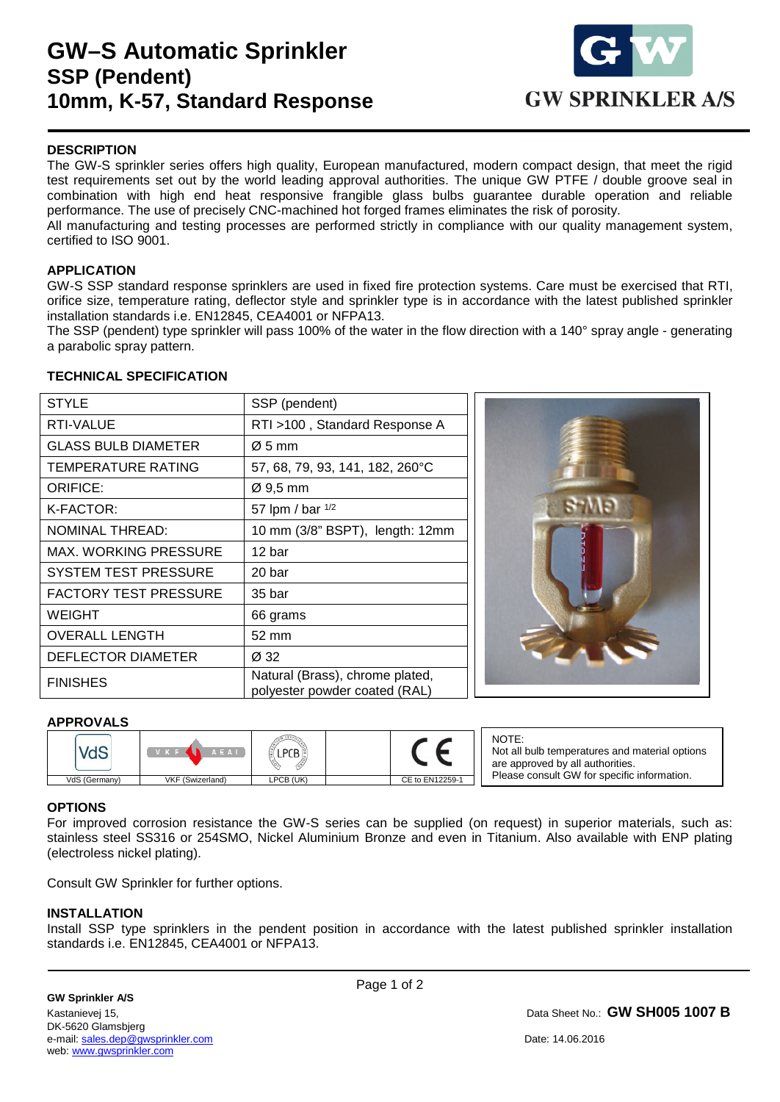## **GW–S Automatic Sprinkler SSP (Pendent) 10mm, K-57, Standard Response**



### **DESCRIPTION**

The GW-S sprinkler series offers high quality, European manufactured, modern compact design, that meet the rigid test requirements set out by the world leading approval authorities. The unique GW PTFE / double groove seal in combination with high end heat responsive frangible glass bulbs guarantee durable operation and reliable performance. The use of precisely CNC-machined hot forged frames eliminates the risk of porosity.

All manufacturing and testing processes are performed strictly in compliance with our quality management system, certified to ISO 9001.

#### **APPLICATION**

GW-S SSP standard response sprinklers are used in fixed fire protection systems. Care must be exercised that RTI, orifice size, temperature rating, deflector style and sprinkler type is in accordance with the latest published sprinkler installation standards i.e. EN12845, CEA4001 or NFPA13.

The SSP (pendent) type sprinkler will pass 100% of the water in the flow direction with a 140° spray angle - generating a parabolic spray pattern.

#### **TECHNICAL SPECIFICATION**

| <b>STYLE</b>                 | SSP (pendent)                                                    |  |
|------------------------------|------------------------------------------------------------------|--|
| RTI-VALUE                    | RTI >100, Standard Response A                                    |  |
| <b>GLASS BULB DIAMETER</b>   | $\varnothing$ 5 mm                                               |  |
| <b>TEMPERATURE RATING</b>    | 57, 68, 79, 93, 141, 182, 260°C                                  |  |
| <b>ORIFICE:</b>              | $\varnothing$ 9,5 mm                                             |  |
| K-FACTOR:                    | 57 lpm / bar 1/2                                                 |  |
| <b>NOMINAL THREAD:</b>       | 10 mm (3/8" BSPT), length: 12mm                                  |  |
| <b>MAX. WORKING PRESSURE</b> | 12 bar                                                           |  |
| <b>SYSTEM TEST PRESSURE</b>  | 20 <sub>bar</sub>                                                |  |
| <b>FACTORY TEST PRESSURE</b> | 35 bar                                                           |  |
| <b>WEIGHT</b>                | 66 grams                                                         |  |
| <b>OVERALL LENGTH</b>        | 52 mm                                                            |  |
| DEFLECTOR DIAMETER           | Ø 32                                                             |  |
| <b>FINISHES</b>              | Natural (Brass), chrome plated,<br>polyester powder coated (RAL) |  |



#### **APPROVALS**

|               | ΆΕΑΙ             |           |                 |
|---------------|------------------|-----------|-----------------|
| VdS (Germany) | VKF (Swizerland) | LPCB (UK) | CE to EN12259-1 |

NOTE: Not all bulb temperatures and material options are approved by all authorities. Please consult GW for specific information.

#### **OPTIONS**

For improved corrosion resistance the GW-S series can be supplied (on request) in superior materials, such as: stainless steel SS316 or 254SMO, Nickel Aluminium Bronze and even in Titanium. Also available with ENP plating (electroless nickel plating).

Consult GW Sprinkler for further options.

#### **INSTALLATION**

1

Install SSP type sprinklers in the pendent position in accordance with the latest published sprinkler installation standards i.e. EN12845, CEA4001 or NFPA13.